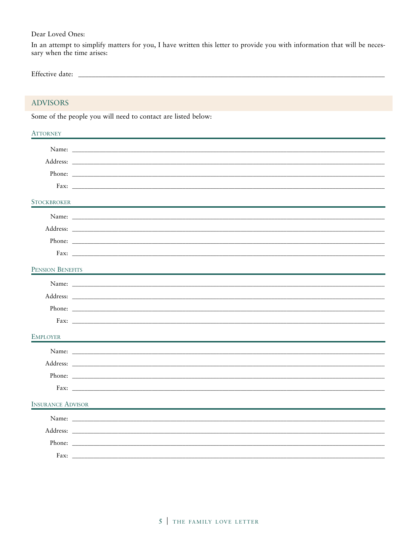Dear Loved Ones:

In an attempt to simplify matters for you, I have written this letter to provide you with information that will be necessary when the time arises:

| $T_{\rm C}$ |  |  |
|-------------|--|--|
|-------------|--|--|

# ADVISORS

Some of the people you will need to contact are listed below:

| <b>ATTORNEY</b>          |                                                                                                                                                                                                                                |
|--------------------------|--------------------------------------------------------------------------------------------------------------------------------------------------------------------------------------------------------------------------------|
|                          |                                                                                                                                                                                                                                |
|                          | Address: Note that the contract of the contract of the contract of the contract of the contract of the contract of the contract of the contract of the contract of the contract of the contract of the contract of the contrac |
|                          | Phone:                                                                                                                                                                                                                         |
|                          |                                                                                                                                                                                                                                |
| STOCKBROKER              |                                                                                                                                                                                                                                |
|                          |                                                                                                                                                                                                                                |
|                          |                                                                                                                                                                                                                                |
|                          |                                                                                                                                                                                                                                |
|                          |                                                                                                                                                                                                                                |
| PENSION BENEFITS         |                                                                                                                                                                                                                                |
|                          |                                                                                                                                                                                                                                |
|                          |                                                                                                                                                                                                                                |
|                          |                                                                                                                                                                                                                                |
|                          |                                                                                                                                                                                                                                |
| <b>EMPLOYER</b>          |                                                                                                                                                                                                                                |
|                          |                                                                                                                                                                                                                                |
|                          |                                                                                                                                                                                                                                |
|                          | Phone:                                                                                                                                                                                                                         |
|                          |                                                                                                                                                                                                                                |
| <b>INSURANCE ADVISOR</b> |                                                                                                                                                                                                                                |
|                          |                                                                                                                                                                                                                                |
|                          |                                                                                                                                                                                                                                |
|                          |                                                                                                                                                                                                                                |
| Fax:                     |                                                                                                                                                                                                                                |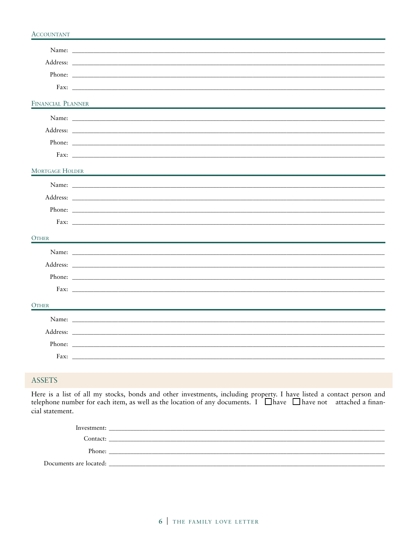#### **ACCOUNTANT**

| FINANCIAL PLANNER      |                                                                                           |
|------------------------|-------------------------------------------------------------------------------------------|
|                        |                                                                                           |
|                        |                                                                                           |
|                        | Phone:                                                                                    |
|                        |                                                                                           |
| <b>MORTGAGE HOLDER</b> | the control of the control of the control of the control of the control of the control of |
|                        |                                                                                           |
|                        |                                                                                           |
|                        |                                                                                           |
|                        |                                                                                           |
| <b>OTHER</b>           |                                                                                           |
|                        |                                                                                           |
|                        |                                                                                           |
|                        |                                                                                           |
|                        |                                                                                           |
| <b>OTHER</b>           |                                                                                           |
|                        |                                                                                           |
|                        |                                                                                           |
|                        | Phone:                                                                                    |
|                        |                                                                                           |

# **ASSETS**

Here is a list of all my stocks, bonds and other investments, including property. I have listed a contact person and telephone number for each item, as well as the location of any documents. I  $\Box$  have  $\Box$  have not attached a financial statement.

| Investment:            |  |
|------------------------|--|
| Contact:               |  |
| Phone:                 |  |
| Documents are located: |  |
|                        |  |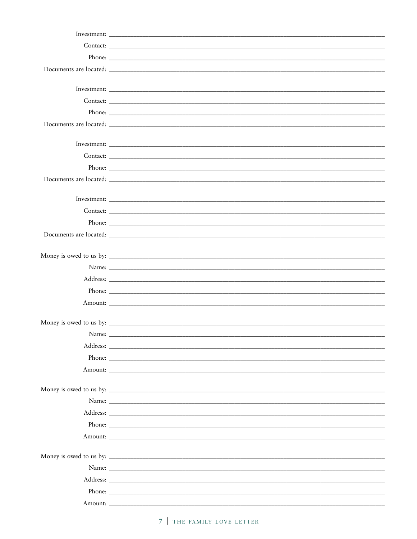|       | Phone:                                                                                                                                                                                                                         |
|-------|--------------------------------------------------------------------------------------------------------------------------------------------------------------------------------------------------------------------------------|
|       |                                                                                                                                                                                                                                |
|       |                                                                                                                                                                                                                                |
|       | Contact:                                                                                                                                                                                                                       |
|       |                                                                                                                                                                                                                                |
|       |                                                                                                                                                                                                                                |
|       |                                                                                                                                                                                                                                |
|       |                                                                                                                                                                                                                                |
|       | Contact:                                                                                                                                                                                                                       |
|       |                                                                                                                                                                                                                                |
|       |                                                                                                                                                                                                                                |
|       |                                                                                                                                                                                                                                |
|       |                                                                                                                                                                                                                                |
|       |                                                                                                                                                                                                                                |
|       |                                                                                                                                                                                                                                |
|       |                                                                                                                                                                                                                                |
|       |                                                                                                                                                                                                                                |
|       |                                                                                                                                                                                                                                |
| Name: |                                                                                                                                                                                                                                |
|       | Address: No. 2016. The Commission of the Commission of the Commission of the Commission of the Commission of the Commission of the Commission of the Commission of the Commission of the Commission of the Commission of the C |
|       |                                                                                                                                                                                                                                |
|       |                                                                                                                                                                                                                                |
|       |                                                                                                                                                                                                                                |
|       |                                                                                                                                                                                                                                |
|       |                                                                                                                                                                                                                                |
|       |                                                                                                                                                                                                                                |
|       |                                                                                                                                                                                                                                |
|       |                                                                                                                                                                                                                                |
|       |                                                                                                                                                                                                                                |
|       |                                                                                                                                                                                                                                |
|       |                                                                                                                                                                                                                                |
|       |                                                                                                                                                                                                                                |
|       |                                                                                                                                                                                                                                |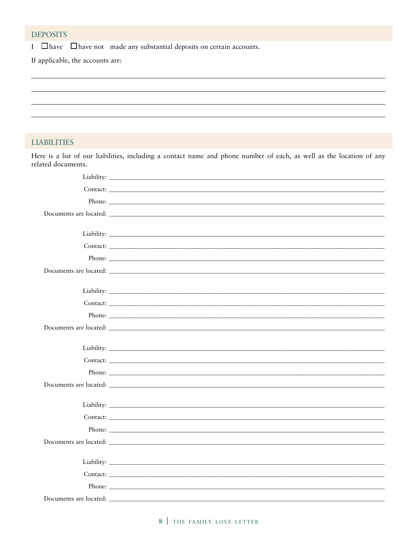## **DEPOSITS**

I  $\Box$  have  $\Box$  have not made any substantial deposits on certain accounts.

If applicable, the accounts are:

### **LIABILITIES**

Here is a list of our liabilities, including a contact name and phone number of each, as well as the location of any related documents.

| Contact:                                                                                                                                                                                                                      |  |
|-------------------------------------------------------------------------------------------------------------------------------------------------------------------------------------------------------------------------------|--|
|                                                                                                                                                                                                                               |  |
| Documents are located: Note that the contract of the contract of the contract of the contract of the contract of the contract of the contract of the contract of the contract of the contract of the contract of the contract |  |
|                                                                                                                                                                                                                               |  |
|                                                                                                                                                                                                                               |  |
| Contact:                                                                                                                                                                                                                      |  |
|                                                                                                                                                                                                                               |  |
|                                                                                                                                                                                                                               |  |
|                                                                                                                                                                                                                               |  |
|                                                                                                                                                                                                                               |  |
|                                                                                                                                                                                                                               |  |
|                                                                                                                                                                                                                               |  |
|                                                                                                                                                                                                                               |  |
|                                                                                                                                                                                                                               |  |
|                                                                                                                                                                                                                               |  |
|                                                                                                                                                                                                                               |  |
| Phone:                                                                                                                                                                                                                        |  |
|                                                                                                                                                                                                                               |  |
|                                                                                                                                                                                                                               |  |
|                                                                                                                                                                                                                               |  |
|                                                                                                                                                                                                                               |  |
|                                                                                                                                                                                                                               |  |
|                                                                                                                                                                                                                               |  |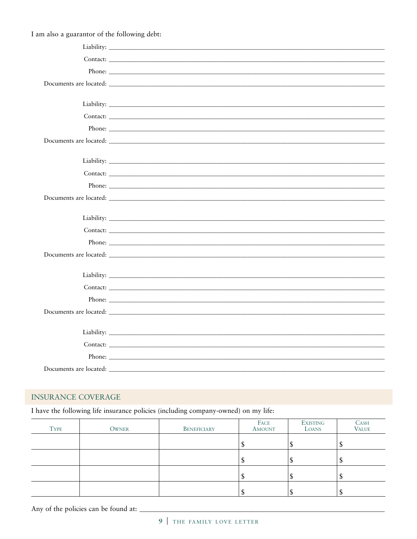I am also a guarantor of the following debt:

| Liability: Line and Line and Line and Line and Line and Line and Line and Line and Line and Line and Line and Line and Line and Line and Line and Line and Line and Line and Line and Line and Line and Line and Line and Line |
|--------------------------------------------------------------------------------------------------------------------------------------------------------------------------------------------------------------------------------|
| Contact:                                                                                                                                                                                                                       |
|                                                                                                                                                                                                                                |
|                                                                                                                                                                                                                                |
|                                                                                                                                                                                                                                |
|                                                                                                                                                                                                                                |
| Contact:                                                                                                                                                                                                                       |
| Phone:                                                                                                                                                                                                                         |
|                                                                                                                                                                                                                                |
|                                                                                                                                                                                                                                |
|                                                                                                                                                                                                                                |
|                                                                                                                                                                                                                                |
|                                                                                                                                                                                                                                |
|                                                                                                                                                                                                                                |
|                                                                                                                                                                                                                                |
|                                                                                                                                                                                                                                |
|                                                                                                                                                                                                                                |
|                                                                                                                                                                                                                                |
|                                                                                                                                                                                                                                |
|                                                                                                                                                                                                                                |
|                                                                                                                                                                                                                                |
|                                                                                                                                                                                                                                |
|                                                                                                                                                                                                                                |
|                                                                                                                                                                                                                                |

# **INSURANCE COVERAGE**

I have the following life insurance policies (including company-owned) on my life:

| <b>TYPE</b> | OWNER | BENEFICIARY | FACE<br>AMOUNT | <b>EXISTING</b><br>LOANS | <b>CASH</b><br><b>VALUE</b> |
|-------------|-------|-------------|----------------|--------------------------|-----------------------------|
|             |       |             |                |                          |                             |
|             |       |             |                |                          |                             |
|             |       |             |                |                          |                             |
|             |       |             |                |                          |                             |

Any of the policies can be found at: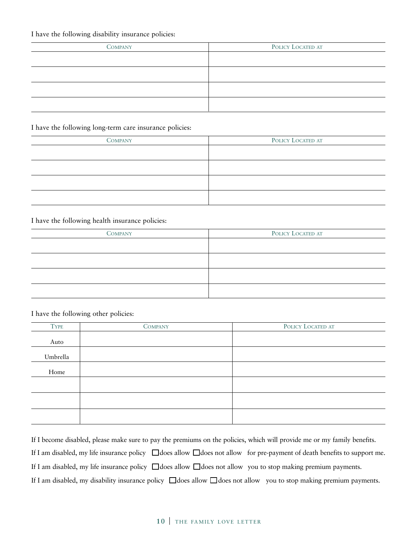### I have the following disability insurance policies:

| <b>COMPANY</b> | POLICY LOCATED AT |
|----------------|-------------------|
|                |                   |
|                |                   |
|                |                   |
|                |                   |

#### I have the following long-term care insurance policies:

| <b>COMPANY</b> | POLICY LOCATED AT |
|----------------|-------------------|
|                |                   |
|                |                   |
|                |                   |
|                |                   |

### I have the following health insurance policies:

| <b>COMPANY</b> | POLICY LOCATED AT |
|----------------|-------------------|
|                |                   |
|                |                   |
|                |                   |
|                |                   |
|                |                   |

### I have the following other policies:

| <b>TYPE</b> | <b>COMPANY</b> | POLICY LOCATED AT |
|-------------|----------------|-------------------|
|             |                |                   |
| Auto        |                |                   |
| Umbrella    |                |                   |
| Home        |                |                   |
|             |                |                   |
|             |                |                   |
|             |                |                   |

If I become disabled, please make sure to pay the premiums on the policies, which will provide me or my family benefits. If I am disabled, my life insurance policy ❑ does allow ❑ does not allow for pre-payment of death benefits to support me. If I am disabled, my life insurance policy ❑ does allow ❑ does not allow you to stop making premium payments. If I am disabled, my disability insurance policy ❑ does allow ❑ does not allow you to stop making premium payments.

## **10** | THE FAMILY LOVE LETTER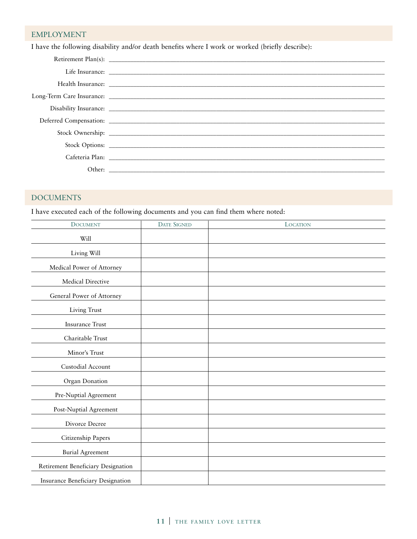# EMPLOYMENT

I have the following disability and/or death benefits where I work or worked (briefly describe):

| Deferred Compensation: Lawrence Compensation: |
|-----------------------------------------------|
|                                               |
|                                               |
|                                               |
|                                               |

# DOCUMENTS

I have executed each of the following documents and you can find them where noted:

| <b>DOCUMENT</b>                    | <b>DATE SIGNED</b> | <b>LOCATION</b> |
|------------------------------------|--------------------|-----------------|
| Will                               |                    |                 |
| Living Will                        |                    |                 |
| Medical Power of Attorney          |                    |                 |
| Medical Directive                  |                    |                 |
| General Power of Attorney          |                    |                 |
| Living Trust                       |                    |                 |
| <b>Insurance Trust</b>             |                    |                 |
| Charitable Trust                   |                    |                 |
| Minor's Trust                      |                    |                 |
| Custodial Account                  |                    |                 |
| Organ Donation                     |                    |                 |
| Pre-Nuptial Agreement              |                    |                 |
| Post-Nuptial Agreement             |                    |                 |
| Divorce Decree                     |                    |                 |
| Citizenship Papers                 |                    |                 |
| Burial Agreement                   |                    |                 |
| Retirement Beneficiary Designation |                    |                 |
| Insurance Beneficiary Designation  |                    |                 |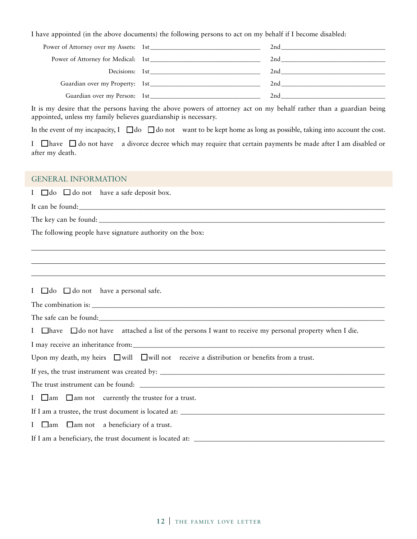I have appointed (in the above documents) the following persons to act on my behalf if I become disabled:

|                                | $2nd$ and $2nd$ and $2nd$ and $2nd$ and $2nd$ and $2nd$ and $2nd$ and $2nd$ and $2nd$ and $2nd$ and $2nd$ and $2nd$ and $2nd$ and $2nd$ and $2nd$ and $2nd$ and $2nd$ and $2nd$ and $2nd$ and $2nd$ and $2nd$ and $2nd$ and $2nd$ and $2nd$ and $2nd$ |
|--------------------------------|-------------------------------------------------------------------------------------------------------------------------------------------------------------------------------------------------------------------------------------------------------|
|                                | $2nd \quad \ldots$                                                                                                                                                                                                                                    |
| Decisions: 1st                 |                                                                                                                                                                                                                                                       |
| Guardian over my Property: 1st | $2nd$ and $2nd$ and $2nd$ and $2nd$ and $2nd$ and $2nd$ and $2nd$ and $2nd$ and $2nd$ and $2nd$ and $2nd$ and $2nd$ and $2nd$ and $2nd$ and $2nd$ and $2nd$ and $2nd$ and $2nd$ and $2nd$ and $2nd$ and $2nd$ and $2nd$ and $2nd$ and $2nd$ and $2nd$ |
| Guardian over my Person: 1st   | 2nd                                                                                                                                                                                                                                                   |
|                                |                                                                                                                                                                                                                                                       |

It is my desire that the persons having the above powers of attorney act on my behalf rather than a guardian being appointed, unless my family believes guardianship is necessary.

In the event of my incapacity, I  $\Box$  do  $\Box$  do not want to be kept home as long as possible, taking into account the cost.

I  $\Box$  have  $\Box$  do not have a divorce decree which may require that certain payments be made after I am disabled or after my death.

#### GENERAL INFORMATION

I  $\Box$  do  $\Box$  do not have a safe deposit box.

It can be found:

The key can be found: \_\_\_\_\_\_\_\_\_\_\_\_\_\_\_\_\_\_\_\_\_\_\_\_\_\_\_\_\_\_\_\_\_\_\_\_\_\_\_\_\_\_\_\_\_\_\_\_\_\_\_\_\_\_\_\_\_\_\_\_\_\_\_\_\_\_\_\_\_\_\_\_\_\_\_\_\_\_\_\_\_\_\_\_

The following people have signature authority on the box:

I  $\Box$  do  $\Box$  do not have a personal safe.

The combination is:

The safe can be found:

I  $\Box$  have  $\Box$  do not have attached a list of the persons I want to receive my personal property when I die.

I may receive an inheritance from:

Upon my death, my heirs ❑ will ❑ will not receive a distribution or benefits from a trust.

If yes, the trust instrument was created by: \_\_\_\_\_\_\_\_\_\_\_\_\_\_\_\_\_\_\_\_\_\_\_\_\_\_\_\_\_\_\_\_\_\_\_\_\_\_\_\_\_\_\_\_\_\_\_\_\_\_\_\_\_\_\_\_\_\_\_\_\_\_\_\_\_\_

The trust instrument can be found: \_\_\_\_\_\_\_\_\_\_\_\_\_\_\_\_\_\_\_\_\_\_\_\_\_\_\_\_\_\_\_\_\_\_\_\_\_\_\_\_\_\_\_\_\_\_\_\_\_\_\_\_\_\_\_\_\_\_\_\_\_\_\_\_\_\_\_\_\_\_\_\_

I  $\Box$  am  $\Box$  am not currently the trustee for a trust.

If I am a trustee, the trust document is located at: \_\_\_\_\_\_\_\_\_\_\_\_\_\_\_\_\_\_\_\_\_\_\_\_\_\_\_\_\_\_\_\_\_\_\_\_\_\_\_\_\_\_\_\_\_\_\_\_\_\_\_\_\_\_\_\_\_\_\_\_

I  $\Box$  am  $\Box$  am not a beneficiary of a trust.

If I am a beneficiary, the trust document is located at: \_\_\_\_\_\_\_\_\_\_\_\_\_\_\_\_\_\_\_\_\_\_\_\_\_\_\_\_\_\_\_\_\_\_\_\_\_\_\_\_\_\_\_\_\_\_\_\_\_\_\_\_\_\_\_\_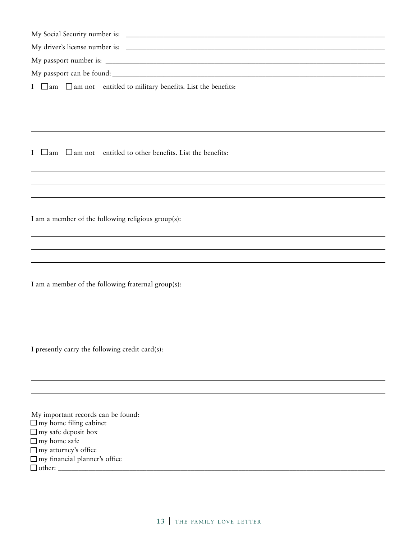| My Social Security number is: |  |
|-------------------------------|--|
|                               |  |

My driver's license number is: \_\_\_\_\_\_\_\_\_\_\_\_\_\_\_\_\_\_\_\_\_\_\_\_\_\_\_\_\_\_\_\_\_\_\_\_\_\_\_\_\_\_\_\_\_\_\_\_\_\_\_\_\_\_\_\_\_\_\_\_\_\_\_\_\_\_\_\_\_\_\_\_\_\_\_\_

My passport number is: \_\_\_\_\_\_\_\_\_\_\_\_\_\_\_\_\_\_\_\_\_\_\_\_\_\_\_\_\_\_\_\_\_\_\_\_\_\_\_\_\_\_\_\_\_\_\_\_\_\_\_\_\_\_\_\_\_\_\_\_\_\_\_\_\_\_\_\_\_\_\_\_\_\_\_\_\_\_\_\_\_\_

My passport can be found: \_\_\_\_\_\_\_\_\_\_\_\_\_\_\_\_\_\_\_\_\_\_\_\_\_\_\_\_\_\_\_\_\_\_\_\_\_\_\_\_\_\_\_\_\_\_\_\_\_\_\_\_\_\_\_\_\_\_\_\_\_\_\_\_\_\_\_\_\_\_\_\_\_\_\_\_\_\_\_\_

I ❑ am ❑ am not entitled to military benefits. List the benefits:

I ❑ am ❑ am not entitled to other benefits. List the benefits:

I am a member of the following religious group(s):

I am a member of the following fraternal group(s):

I presently carry the following credit card(s):

My important records can be found: ❑ my home filing cabinet ❑ my safe deposit box ❑ my home safe ❑ my attorney's office ❑ my financial planner's office ❑ other: \_\_\_\_\_\_\_\_\_\_\_\_\_\_\_\_\_\_\_\_\_\_\_\_\_\_\_\_\_\_\_\_\_\_\_\_\_\_\_\_\_\_\_\_\_\_\_\_\_\_\_\_\_\_\_\_\_\_\_\_\_\_\_\_\_\_\_\_\_\_\_\_\_\_\_\_\_\_\_\_\_\_\_\_\_\_\_\_\_\_\_\_\_\_\_\_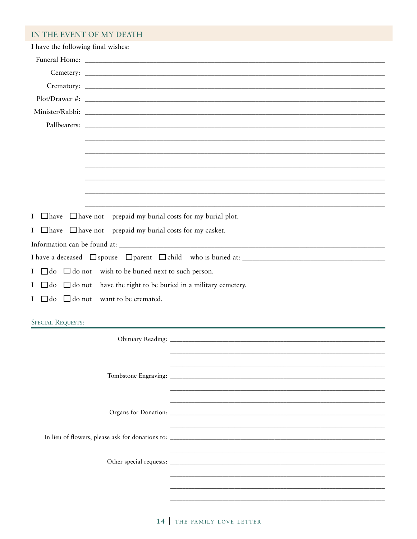# IN THE EVENT OF MY DEATH

| I have the following final wishes:                                            |  |  |  |  |
|-------------------------------------------------------------------------------|--|--|--|--|
|                                                                               |  |  |  |  |
|                                                                               |  |  |  |  |
|                                                                               |  |  |  |  |
|                                                                               |  |  |  |  |
|                                                                               |  |  |  |  |
|                                                                               |  |  |  |  |
|                                                                               |  |  |  |  |
|                                                                               |  |  |  |  |
|                                                                               |  |  |  |  |
|                                                                               |  |  |  |  |
|                                                                               |  |  |  |  |
|                                                                               |  |  |  |  |
| I $\Box$ have $\Box$ have not prepaid my burial costs for my burial plot.     |  |  |  |  |
| I $\Box$ have $\Box$ have not prepaid my burial costs for my casket.          |  |  |  |  |
|                                                                               |  |  |  |  |
|                                                                               |  |  |  |  |
| I $\Box$ do $\Box$ do not wish to be buried next to such person.              |  |  |  |  |
| I $\Box$ do $\Box$ do not have the right to be buried in a military cemetery. |  |  |  |  |
| I □ do □ do not want to be cremated.                                          |  |  |  |  |
|                                                                               |  |  |  |  |
| <b>SPECIAL REQUESTS:</b>                                                      |  |  |  |  |
|                                                                               |  |  |  |  |
|                                                                               |  |  |  |  |
|                                                                               |  |  |  |  |
|                                                                               |  |  |  |  |
|                                                                               |  |  |  |  |
|                                                                               |  |  |  |  |
|                                                                               |  |  |  |  |
|                                                                               |  |  |  |  |
|                                                                               |  |  |  |  |
|                                                                               |  |  |  |  |
|                                                                               |  |  |  |  |
|                                                                               |  |  |  |  |
|                                                                               |  |  |  |  |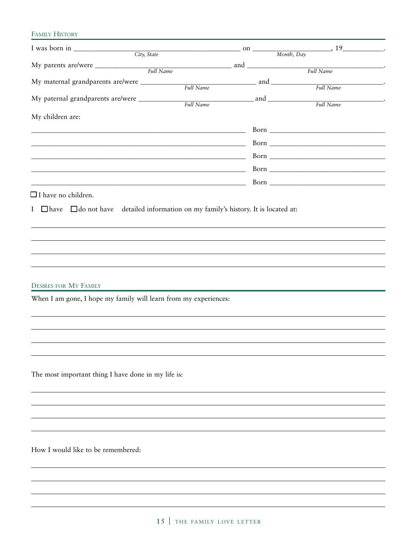### FAMILY HISTORY

| I was born in $\frac{City}{ity}$ State on $\frac{Oity}{T}$ , $\frac{19}{x}$ .         |  |  |
|---------------------------------------------------------------------------------------|--|--|
|                                                                                       |  |  |
|                                                                                       |  |  |
|                                                                                       |  |  |
| My paternal grandparents are/were _____________                                       |  |  |
|                                                                                       |  |  |
| My children are:                                                                      |  |  |
|                                                                                       |  |  |
|                                                                                       |  |  |
| <u> 1989 - Johann Barn, mars ar breithinn ar chwaraeth a bhaile ann an t-</u>         |  |  |
|                                                                                       |  |  |
|                                                                                       |  |  |
| $\Box$ I have no children.                                                            |  |  |
|                                                                                       |  |  |
| I I have I do not have detailed information on my family's history. It is located at: |  |  |
|                                                                                       |  |  |
|                                                                                       |  |  |
|                                                                                       |  |  |
|                                                                                       |  |  |
|                                                                                       |  |  |
| <b>DESIRES FOR MY FAMILY</b>                                                          |  |  |
| When I am gone, I hope my family will learn from my experiences:                      |  |  |
|                                                                                       |  |  |
|                                                                                       |  |  |
|                                                                                       |  |  |
|                                                                                       |  |  |
|                                                                                       |  |  |
|                                                                                       |  |  |
| The most important thing I have done in my life is:                                   |  |  |
|                                                                                       |  |  |
|                                                                                       |  |  |
|                                                                                       |  |  |
|                                                                                       |  |  |
|                                                                                       |  |  |
| How I would like to be remembered:                                                    |  |  |
|                                                                                       |  |  |